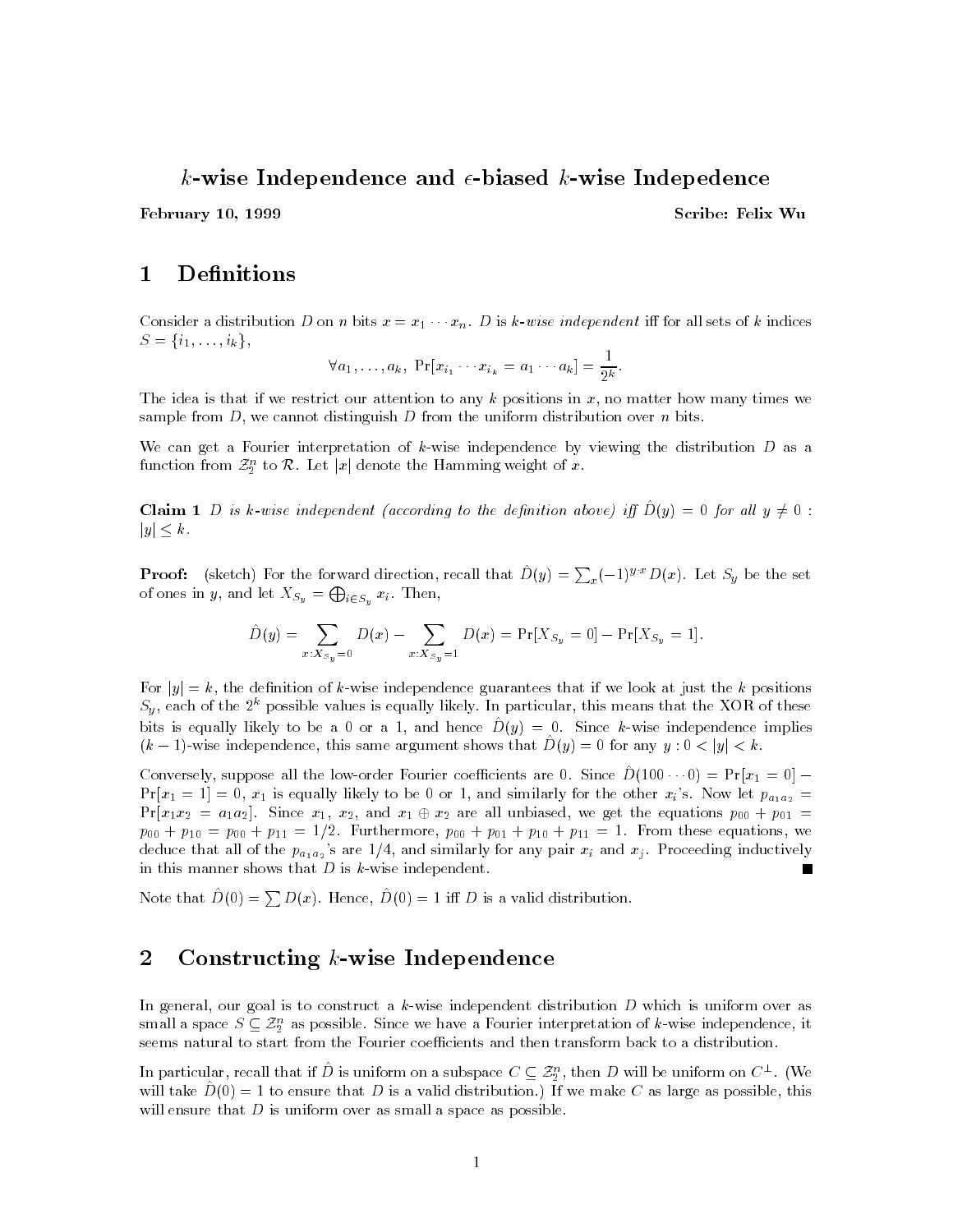## $k$ -wise Independence and  $\epsilon$ -biased  $k$ -wise Indepedence

February 10, 1999 **Sexuary 10, 1999** Scribe: Felix Wu

#### 1 Definitions

Consider a distribution D on n bits  $x = x_1 \cdots x_n$ . D is k-wise independent iff for all sets of k indices  $S = \{i_1, \ldots, i_k\},\$ 

$$
\forall a_1, \ldots, a_k, \Pr[x_{i_1} \cdots x_{i_k} = a_1 \cdots a_k] = \frac{1}{2^k}.
$$

The idea is that if we restrict our attention to any k positions in  $x$ , no matter how many times we sample from  $D$ , we cannot distinguish  $D$  from the uniform distribution over n bits.

We can get a Fourier interpretation of  $k$ -wise independence by viewing the distribution  $D$  as a function from  ${\mathcal Z}_2^n$  to  ${\mathcal R}.$  Let  $|x|$  denote the Hamming weight of  $x$ .

**Claim 1** D is k-wise independent (according to the definition above) iff  $D(y) = 0$  for all  $y \neq 0$ :  $|y| \leq k$ .

**Proof:** (sketch) For the forward direction, recall that  $D(y) = \sum_x (-1)^{y \cdot x} D(x)$ . Let  $S_y$  be the set of ones in y, and let  $X_{S_y} = \bigoplus_{i \in S_y} x_i$ . Then,

$$
\hat{D}(y) = \sum_{x:X_{Sy}=0} D(x) - \sum_{x:X_{Sy}=1} D(x) = \Pr[X_{Sy}=0] - \Pr[X_{Sy}=1].
$$

For  $|y|=k$ , the definition of k-wise independence guarantees that if we look at just the k positions  $S_y$ , each of the  $2^k$  possible values is equally likely. In particular, this means that the XOR of these bits is equally likely to be a 0 or a 1, and hence  $D(y) = 0$ . Since k-wise independence implies  $(k-1)$ -wise independence, this same argument shows that  $D(y) = 0$  for any  $y : 0 < |y| < k$ .

Conversely, suppose all the low-order Fourier coefficients are 0. Since  $D(100 \cdots 0) = Pr[x_1 = 0]$  $Pr[x_1 = 1] = 0$ ,  $x_1$  is equally likely to be 0 or 1, and similarly for the other  $x_i$ 's. Now let  $p_{a_1a_2}$  =  $Pr[x_1x_2 = a_1a_2]$ . Since  $x_1, x_2,$  and  $x_1 \oplus x_2$  are all unbiased, we get the equations  $p_{00} + p_{01} =$  $p_{00} + p_{10} = p_{00} + p_{11} = 1/2$ . Furthermore,  $p_{00} + p_{01} + p_{10} + p_{11} = 1$ . From these equations, we deduce that all of the  $p_{a_1a_2}$ 's are 1/4, and similarly for any pair  $x_i$  and  $x_j$ . Proceeding inductively in this manner shows that  $D$  is  $k$ -wise independent. П

Note that  $D(0) = \sum D(x)$ . Hence,  $D(0) = 1$  iff D is a valid distribution.

### 2 Constructing  $k$ -wise Independence

In general, our goal is to construct a  $k$ -wise independent distribution  $D$  which is uniform over as small a space  $S \subseteq {\mathcal{Z}}_2^n$  as possible. Since we have a Fourier interpretation of  $k$ -wise independence, it seems natural to start from the Fourier coefficients and then transform back to a distribution.

In particular, recall that if  $D$  is uniform on a subspace  $C \subseteq \mathcal{Z}_2^n$  , then  $D$  will be uniform on  $C^\perp$  . (We will take  $D'(0) = 1$  to ensure that D is a valid distribution.) If we make C as large as possible, this will ensure that  $D$  is uniform over as small a space as possible.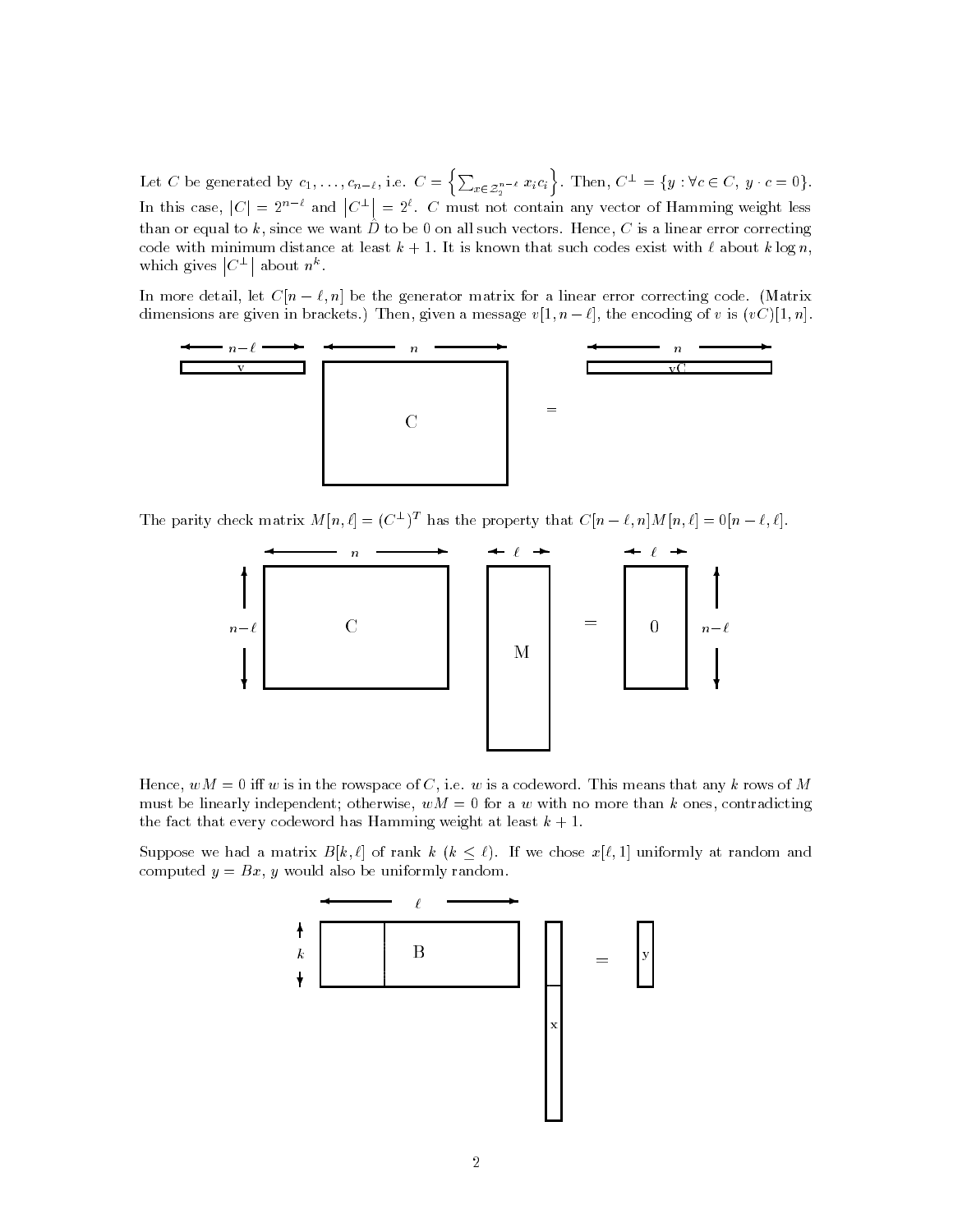$\Xi$  c c c c  $\Xi$  c  $\Xi$  c  $\Xi$  is contributed by c  $\Xi$  i.e.  $\Xi$  i.e.  $\Xi$  i.e.  $\Xi$ n<sub>P</sub> and the property of the second second the second second second second second second second second second second second second second second second second second second second second second second second second second  $x \in \mathcal{Z}_2^{n-\ell}$   $x_i c_i$ . Then,  $C^{\perp} = \{y : \forall c \in C, y \cdot c = 0\}.$ In this case,  $|C| = 2^{n-\ell}$  and  $|C^{\perp}| = 2^{\ell}$ . C must not contain any vector of Hamming weight less than or equal to  $\kappa$  , since we want  $D$  to be 0 on an such vectors. Hence,  $C$  is a linear error correcting code with minimum distance at least  $k + 1$ . It is known that such codes exist with  $\ell$  about  $k \log n$ , which gives the control of the control of the control of the control of the control of the control of the control of the control of the control of the control of the control of the control of the control of the control of  $|C^{\perp}|$  about  $n^{k}$ .

In more detail, let  $C[n - \ell, n]$  be the generator matrix for a linear error correcting code. (Matrix dimensions are given in brackets.) Then, given a message  $v[1, n - \ell]$ , the encoding of v is  $(vC)[1, n]$ .



The parity check matrix  $M[n, \ell] = (C^T)^T$  has the property that  $C[n - \ell, n | M[n, \ell] = 0[n - \ell, \ell]$ .



Hence,  $wM = 0$  iff w is in the rowspace of C, i.e. w is a codeword. This means that any k rows of M must be linearly independent; otherwise,  $wM = 0$  for a w with no more than k ones, contradicting the fact that every codeword has Hamming weight at least  $k + 1$ .

Suppose we had a matrix  $B[k, \ell]$  of rank  $k \ (k \leq \ell)$ . If we chose  $x[\ell, 1]$  uniformly at random and computed  $y = Bx$ , y would also be uniformly random.

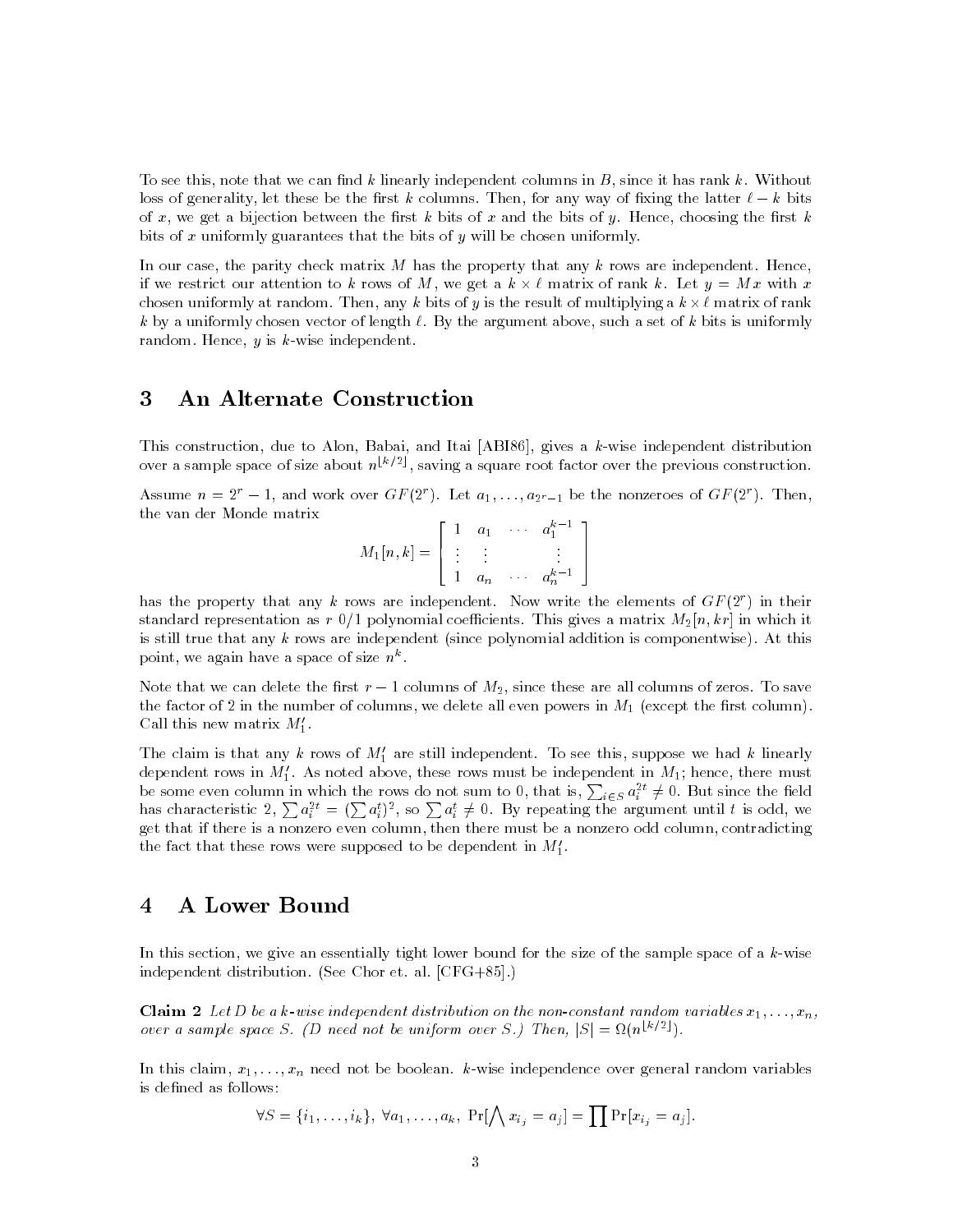To see this, note that we can find k linearly independent columns in  $B$ , since it has rank k. Without loss of generality, let these be the first k columns. Then, for any way of fixing the latter  $\ell - k$  bits of x, we get a bijection between the first k bits of x and the bits of y. Hence, choosing the first k bits of x uniformly guarantees that the bits of  $y$  will be chosen uniformly.

In our case, the parity check matrix  $M$  has the property that any  $k$  rows are independent. Hence, if we restrict our attention to k rows of M, we get a k  $\times$   $\ell$  matrix of rank k. Let  $y = M \, x$  with  $x$ chosen uniformly at random. Then, any  $k$  bits of  $y$  is the result of multiplying a  $k \times \ell$  matrix of rank k by a uniformly chosen vector of length  $\ell$ . By the argument above, such a set of k bits is uniformly random. Hence,  $y$  is  $k$ -wise independent.

### 3 An Alternate Construction

This construction, due to Alon, Babai, and Itai [ABI86], gives a k-wise independent distribution over a sample space of size about  $n \leq 2$  , saving a square root factor over the previous construction.

Assume  $n = 2^r - 1$ , and work over  $GF(2^r)$ . Let  $a_1, \ldots, a_{2^r-1}$  be the nonzeroes of  $GF(2^r)$ . Then, the van der Monde matrix

$$
M_1[n,k] = \left[ \begin{array}{cccc} 1 & a_1 & \cdots & a_1^{k-1} \\ \vdots & \vdots & & \vdots \\ 1 & a_n & \cdots & a_n^{k-1} \end{array} \right]
$$

has the property that any k rows are independent. Now write the elements of  $GF(2<sup>r</sup>)$  in their standard representation as r 0/1 polynomial coefficients. This gives a matrix  $M_2[n, kr]$  in which it is still true that any  $k$  rows are independent (since polynomial addition is componentwise). At this point, we again have a space of size  $n^k$ .

Note that we can delete the first  $r-1$  columns of  $M_2$ , since these are all columns of zeros. To save the factor of 2 in the number of columns, we delete all even powers in  $M_1$  (except the first column). Call this new matrix  $M_1'$ .

The claim is that any k rows of  $M_1'$  are still independent. To see this, suppose we had k linearly dependent rows in  $M_1'$ . As noted above, these rows must be independent in  $M_1$ ; hence, there must be some even column in which the rows do not sum to 0, that is,  $\sum_{i\in S} a_i^{2t} \neq 0$ . But since the field has characteristic 2,  $\sum a_i^{2t} = (\sum a_i^t)^2$ , so  $\sum a_i^t \neq 0$ . By repeating the argument until t is odd, we get that if there is a nonzero even column, then there must be a nonzero odd column, contradicting the fact that these rows were supposed to be dependent in  $M'_1$ .

# 4 A Lower Bound

In this section, we give an essentially tight lower bound for the size of the sample space of a  $k$ -wise independent distribution. (See Chor et. al. [CFG+85].)

**Claim 2** Let D be a k-wise independent distribution on the non-constant random variables  $x_1, \ldots, x_n$ , over a sample space S. (D need not be uniform over S.) Then,  $|S| = \Omega(n^{\lfloor k/2 \rfloor})$ .

In this claim,  $x_1, \ldots, x_n$  need not be boolean. k-wise independence over general random variables is defined as follows:

$$
\forall S = \{i_1, \ldots, i_k\}, \ \forall a_1, \ldots, a_k, \ \Pr[\bigwedge x_{i_j} = a_j] = \prod \Pr[x_{i_j} = a_j].
$$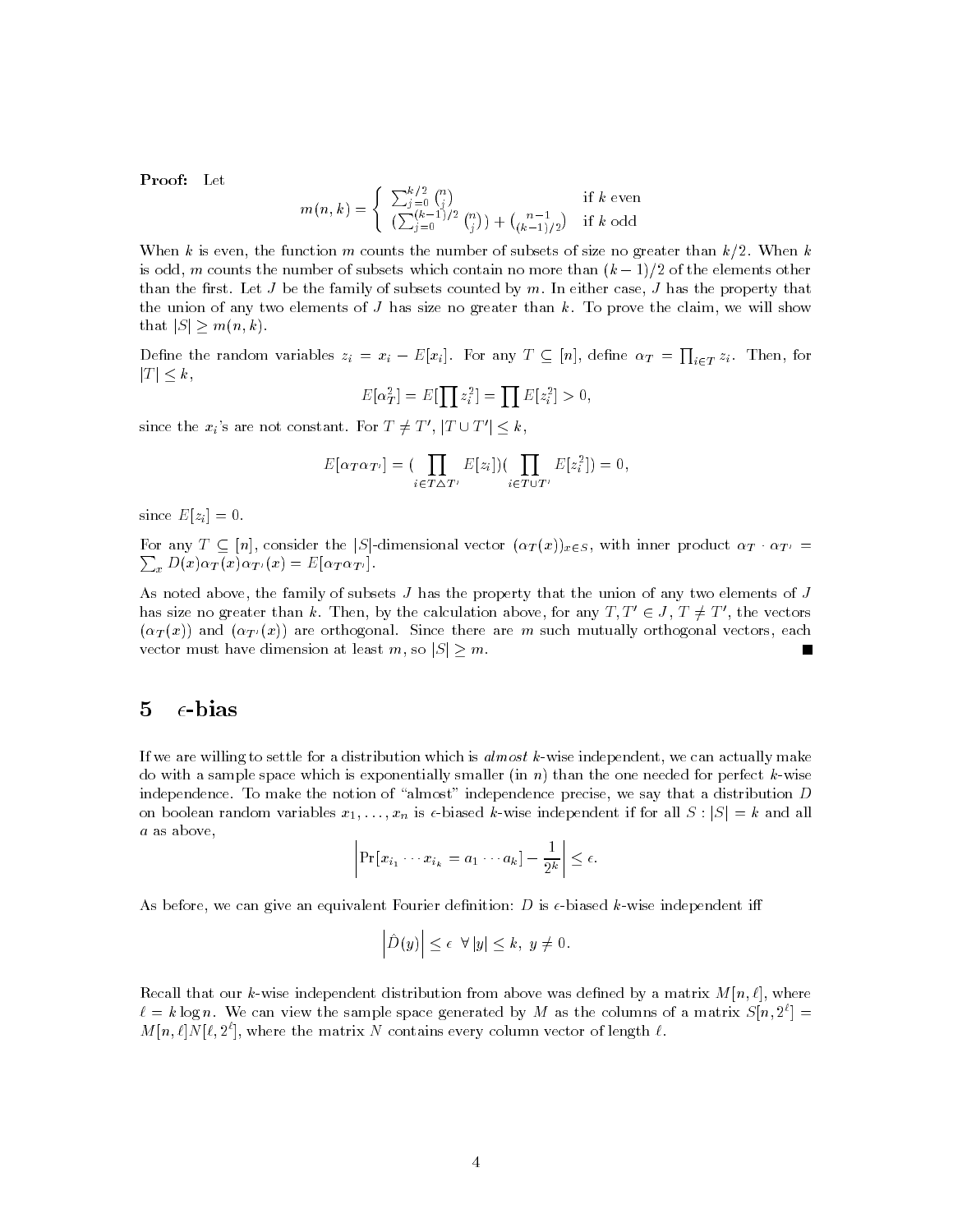Proof: Let

$$
m(n,k) = \begin{cases} \sum_{j=0}^{k/2} {n \choose j} & \text{if } k \text{ even} \\ (\sum_{j=0}^{(k-1)/2} {n \choose j}) + {n-1 \choose (k-1)/2} & \text{if } k \text{ odd} \end{cases}
$$

When k is even, the function m counts the number of subsets of size no greater than  $k/2$ . When k is odd, m counts the number of subsets which contain no more than  $(k-1)/2$  of the elements other than the first. Let  $J$  be the family of subsets counted by  $m$ . In either case,  $J$  has the property that the union of any two elements of  $J$  has size no greater than  $k$ . To prove the claim, we will show that  $|S| \geq m(n, k)$ .

Define the random variables  $z_i = x_i - E[x_i]$ . For any  $T \subseteq [n]$ , define  $\alpha_T = \prod_{i \in T} z_i$ . Then, for  $|T| \leq k$ ,

$$
E[\alpha_T^2] = E[\prod z_i^2] = \prod E[z_i^2] > 0,
$$

since the  $x_i$ 's are not constant. For  $T \neq T'$ ,  $|T \cup T'| \leq k$ ,

$$
E[\alpha_T \alpha_{T'}] = \left(\prod_{i \in T \triangle T'} E[z_i]\right) \left(\prod_{i \in T \cup T'} E[z_i^2]\right) = 0,
$$

since  $E[z_i] = 0$ .

For any  $T \subseteq [n]$ , consider the  $|S|$ -dimensional vector  $(\alpha_T(x))_{x \in S}$ , with inner product  $\alpha_T \cdot \alpha_{T'} =$  $x \rightarrow \infty$   $\left\{x \rightarrow \infty\right\}$   $\left\{x \rightarrow \infty\right\}$ .

As noted above, the family of subsets  $J$  has the property that the union of any two elements of  $J$ has size no greater than k. Then, by the calculation above, for any  $T, T' \in J$ ,  $T \neq T'$ , the vectors  $(\alpha_T(x))$  and  $(\alpha_{T'}(x))$  are orthogonal. Since there are m such mutually orthogonal vectors, each vector must have dimension at least m, so  $|S| \ge m$ .

#### 5  $\epsilon$ -bias

If we are willing to settle for a distribution which is almost  $k$ -wise independent, we can actually make do with a sample space which is exponentially smaller (in n) than the one needed for perfect k-wise independence. To make the notion of "almost" independence precise, we say that a distribution  $D$ on boolean random variables  $x_1, \ldots, x_n$  is  $\epsilon$ -biased k-wise independent if for all  $S : |S| = k$  and all <sup>a</sup> as above,

$$
\left|\Pr[x_{i_1}\cdots x_{i_k}=a_1\cdots a_k]-\frac{1}{2^k}\right|\leq\epsilon.
$$

As before, we can give an equivalent Fourier definition: D is  $\epsilon$ -biased k-wise independent iff

$$
\left|\hat{D}(y)\right| \leq \epsilon \ \forall \, |y| \leq k, \ y \neq 0.
$$

Recall that our k-wise independent distribution from above was defined by a matrix  $M[n, \ell]$ , where  $\ell \equiv \kappa \log n$ . We can view the sample space generated by M as the columns of a matrix  $S[n, 2^{\circ}] =$  $M[n,\ell]N\,|\ell,Z'|,$  where the matrix  $N$  contains every column vector of length  $\ell.$